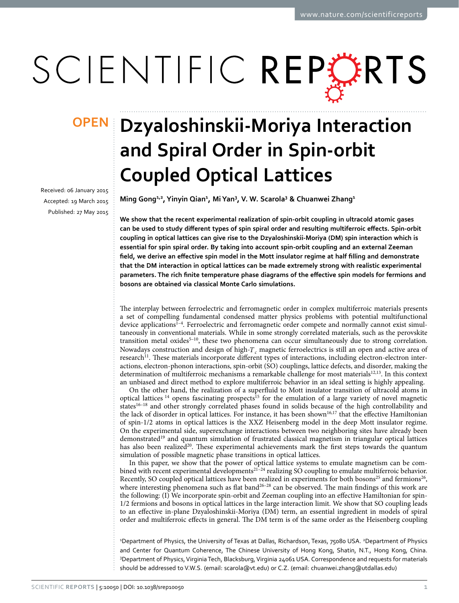# SCIENTIFIC REPERTS

received: 06 January 2015 accepted: 19 March 2015 Published: 27 May 2015

## **Dzyaloshinskii-Moriya Interaction OPENand Spiral Order in Spin-orbit Coupled Optical Lattices**

**Ming Gong1,2 , Yinyin Qian1 , MiYan3 , V. W. Scarola3 & Chuanwei Zhang1**

**We show that the recent experimental realization of spin-orbit coupling in ultracold atomic gases can be used to study different types of spin spiral order and resulting multiferroic effects. Spin-orbit coupling in optical lattices can give rise to the Dzyaloshinskii-Moriya (DM) spin interaction which is essential for spin spiral order. By taking into account spin-orbit coupling and an external Zeeman field, we derive an effective spin model in the Mott insulator regime at half filling and demonstrate that the DM interaction in optical lattices can be made extremely strong with realistic experimental parameters. The rich finite temperature phase diagrams of the effective spin models for fermions and bosons are obtained via classical Monte Carlo simulations.**

The interplay between ferroelectric and ferromagnetic order in complex multiferroic materials presents a set of compelling fundamental condensed matter physics problems with potential multifunctional device applications<sup>1-4</sup>. Ferroelectric and ferromagnetic order compete and normally cannot exist simultaneously in conventional materials. While in some strongly correlated materials, such as the perovskite transition metal oxides<sup>5–10</sup>, these two phenomena can occur simultaneously due to strong correlation. Nowadays construction and design of high- $T_c$  magnetic ferroelectrics is still an open and active area of research<sup>11</sup>. These materials incorporate different types of interactions, including electron-electron interactions, electron-phonon interactions, spin-orbit (SO) couplings, lattice defects, and disorder, making the determination of multiferroic mechanisms a remarkable challenge for most materials<sup>12[,13](#page-6-2)</sup>. In this context an unbiased and direct method to explore multiferroic behavior in an ideal setting is highly appealing.

On the other hand, the realization of a superfluid to Mott insulator transition of ultracold atoms in optical lattices <sup>14</sup> opens fascinating prospects<sup>15</sup> for the emulation of a large variety of novel magnetic states<sup>16-18</sup> and other strongly correlated phases found in solids because of the high controllability and the lack of disorder in optical lattices. For instance, it has been shown<sup>16[,17](#page-6-6)</sup> that the effective Hamiltonian of spin-1/2 atoms in optical lattices is the XXZ Heisenberg model in the deep Mott insulator regime. On the experimental side, superexchange interactions between two neighboring sites have already been demonstrated<sup>19</sup> and quantum simulation of frustrated classical magnetism in triangular optical lattices has also been realized<sup>20</sup>. These experimental achievements mark the first steps towards the quantum simulation of possible magnetic phase transitions in optical lattices.

In this paper, we show that the power of optical lattice systems to emulate magnetism can be combined with recent experimental developments<sup>21-24</sup> realizing SO coupling to emulate multiferroic behavior. Recently, SO coupled optical lattices have been realized in experiments for both bosons<sup>25</sup> and fermions<sup>[26](#page-6-11)</sup>, where interesting phenomena such as flat band<sup>[26–28](#page-6-11)</sup> can be observed. The main findings of this work are the following: (I) We incorporate spin-orbit and Zeeman coupling into an effective Hamiltonian for spin-1/2 fermions and bosons in optical lattices in the large interaction limit. We show that SO coupling leads to an effective in-plane Dzyaloshinskii-Moriya (DM) term, an essential ingredient in models of spiral order and multiferroic effects in general. The DM term is of the same order as the Heisenberg coupling

<sup>1</sup>Department of Physics, the University of Texas at Dallas, Richardson, Texas, 75080 USA. <sup>2</sup>Department of Physics and Center for Quantum Coherence, The Chinese University of Hong Kong, Shatin, N.T., Hong Kong, China. 3 Department of Physics, Virginia Tech, Blacksburg, Virginia 24061 USA. Correspondence and requests for materials should be addressed to V.W.S. (email: [scarola@vt.edu\)](mailto:scarola@vt.edu) or C.Z. (email: [chuanwei.zhang@utdallas.edu](mailto:chuanwei.zhang@utdallas.edu))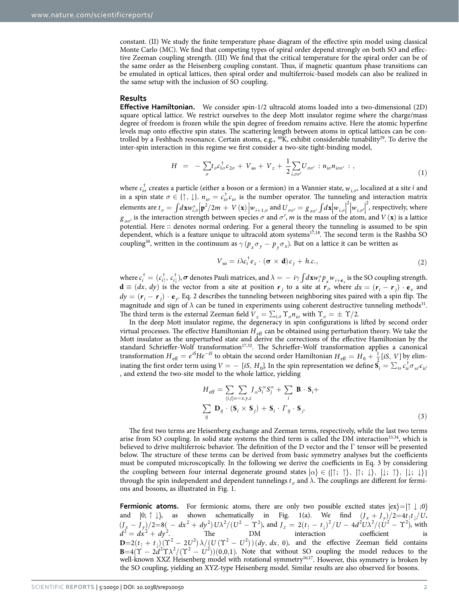constant. (II) We study the finite temperature phase diagram of the effective spin model using classical Monte Carlo (MC). We find that competing types of spiral order depend strongly on both SO and effective Zeeman coupling strength. (III) We find that the critical temperature for the spiral order can be of the same order as the Heisenberg coupling constant. Thus, if magnetic quantum phase transitions can be emulated in optical lattices, then spiral order and multiferroic-based models can also be realized in the same setup with the inclusion of SO coupling.

#### **Results**

**Effective Hamiltonian.** We consider spin-1/2 ultracold atoms loaded into a two-dimensional (2D) square optical lattice. We restrict ourselves to the deep Mott insulator regime where the charge/mass degree of freedom is frozen while the spin degree of freedom remains active. Here the atomic hyperfine levels map onto effective spin states. The scattering length between atoms in optical lattices can be controlled by a Feshbach resonance. Certain atoms, e.g.,  $\frac{40}{K}$ , exhibit considerable tunability<sup>29</sup>. To derive the inter-spin interaction in this regime we first consider a two-site tight-binding model,

$$
H = -\sum_{\sigma} t_{\sigma} c_{1\sigma}^{\dagger} c_{2\sigma} + V_{\rm so} + V_z + \frac{1}{2} \sum_{i,\sigma\sigma'} U_{\sigma\sigma'} : n_{i\sigma} n_{i\sigma\sigma'} : , \qquad (1)
$$

where *ci<sup>σ</sup>* † creates a particle (either a boson or a fermion) in a Wannier state, *wi*,*σ*, localized at a site *i* and in a spin state  $\sigma \in \{\uparrow, \downarrow\}$ .  $n_{i\sigma} = c_{i\sigma}^{\dagger} c_{i\sigma}$  is the number operator. The tunneling and interaction matrix elements are  $t_{\sigma} = \int d\mathbf{x} w_{i,\sigma}^* \left[ \mathbf{p}^2/2m + V(\mathbf{x}) \right] w_{i+1,\sigma}$  and  $U_{\sigma\sigma'} = g_{\sigma\sigma'} \int d\mathbf{x} \left| w_{i,\sigma} \right|^2 \left| w_{i,\sigma'} \right|^2$ , respectively, where Į  $g_{\sigma\sigma'}$  is the interaction strength between species  $\sigma$  and  $\sigma'$ , *m* is the mass of the atom, and *V* (**x**) is a lattice potential. Here :: denotes normal ordering. For a general theory the tunneling is assumed to be spin dependent, which is a feature unique to ultracold atom systems<sup>[17](#page-6-6)[,18](#page-6-13)</sup>. The second term is the Rashba SO coupling<sup>30</sup>, written in the continuum as  $\gamma (p_x \sigma_y - p_y \sigma_x)$ . But on a lattice it can be written as

$$
V_{so} = i\lambda c_i^{\dagger} e_z \cdot (\boldsymbol{\sigma} \times \mathbf{d}) c_j + h.c.,
$$
 (2)

where  $c_i^{\dagger} = (c_{i\uparrow}^{\dagger}, c_{i\downarrow}^{\dagger})$ ,  $\sigma$  denotes Pauli matrices, and  $\lambda = -i\gamma \int d\mathbf{x} w_i^* p_x w_{i+\mathbf{e}_x}$  is the SO coupling strength.  $d \equiv (dx, dy)$  is the vector from a site at position  $r_j$  to a site at  $r_i$ , where  $dx = (r_i - r_j) \cdot e_x$  and  $dy = (r_i - r_i) \cdot e_y$ . Eq. 2 describes the tunneling between neighboring sites paired with a spin flip. The magnitude and sign of  $\lambda$  can be tuned in experiments using coherent destructive tunneling methods<sup>[31](#page-6-15)</sup>. The third term is the external Zeeman field  $V_z = \sum_{i,\sigma} \Upsilon_{\sigma} n_{i\sigma}$  with  $\Upsilon_{\sigma} = \pm \Upsilon/2$ .

In the deep Mott insulator regime, the degeneracy in spin configurations is lifted by second order virtual processes. The effective Hamiltonian  $H_{\text{eff}}$  can be obtained using perturbation theory. We take the Mott insulator as the unperturbed state and derive the corrections of the effective Hamiltonian by the standard Schrieffer-Wolf transformation<sup>[17](#page-6-6)[,32](#page-6-16)</sup>. The Schrieffer-Wolf transformation applies a canonical transformation  $H_{\text{eff}} = e^{iS} H e^{-iS}$  to obtain the second order Hamiltonian  $H_{\text{eff}} = H_0 + \frac{1}{2} [iS, V]$  by eliminating the first order term using  $V = - [iS, H_0]$ . In the spin representation we define  $\bar{S}_i = \sum_{ss} c_{is}^{\dagger} \sigma_{ss'} c_{is'}$ , and extend the two-site model to the whole lattice, yielding

$$
H_{\text{eff}} = \sum_{\langle i,j\rangle\alpha=x,y,z} J_{\alpha} S_i^{\alpha} S_j^{\alpha} + \sum_i \mathbf{B} \cdot \mathbf{S}_i +
$$
  

$$
\sum_{ij} \mathbf{D}_{ij} \cdot (\mathbf{S}_i \times \mathbf{S}_j) + \mathbf{S}_i \cdot \Gamma_{ij} \cdot \mathbf{S}_j.
$$
 (3)

The first two terms are Heisenberg exchange and Zeeman terms, respectively, while the last two terms arise from SO coupling. In solid state systems the third term is called the DM interaction<sup>[33](#page-6-17)[,34](#page-6-18)</sup>, which is believed to drive multiferroic behavior. The definition of the D vector and the Γ tensor will be presented below. The structure of these terms can be derived from basic symmetry analyses but the coefficients must be computed microscopically. In the following we derive the coefficients in Eq. 3 by considering the coupling between four internal degenerate ground states  $\vert \alpha \rangle \in \{ \vert \uparrow; \uparrow \rangle, \vert \uparrow; \downarrow \rangle, \vert \downarrow; \uparrow \rangle, \vert \downarrow; \downarrow \rangle \}$ through the spin independent and dependent tunnelings  $t_\sigma$  and  $\lambda$ . The couplings are different for fermions and bosons, as illustrated in [Fig. 1](#page-2-0).

**Fermionic atoms.** For fermionic atoms, there are only two possible excited states  $|ex\rangle = |\uparrow \downarrow \, \downarrow \, \uparrow \rangle$ and  $|0; \uparrow \downarrow\rangle$ , as shown schematically in Fig. 1(a). We find  $(J_x + J_y)/2 = 4t_\uparrow t_\downarrow/U$ ,  $(J_x - J_y)/2 = 8(-dx^2 + dy^2) U \lambda^2/(U^2 - \Upsilon^2)$ , and  $J_z = 2(t_1 - t_1)^2/U - 4d^2 U \lambda^2/(\Upsilon^2 - \Upsilon^2)$ , with  $d^2 = dx^2 + dy^2$ . The DM interaction coefficient is  $D=2(t_1+t_1)(\Upsilon^2-2U^2)\lambda/(U(\Upsilon^2-U^2))(dy, dx, 0)$ , and the effective Zeeman field contains **B** =  $4(\Upsilon - 2d^2\Upsilon\lambda^2/(\Upsilon^2 - U^2))(0,0,1)$ . Note that without SO coupling the model reduces to the well-known XXZ Heisenberg model with rotational symmetry<sup>16[,17](#page-6-6)</sup>. However, this symmetry is broken by the SO coupling, yielding an XYZ-type Heisenberg model. Similar results are also observed for bosons.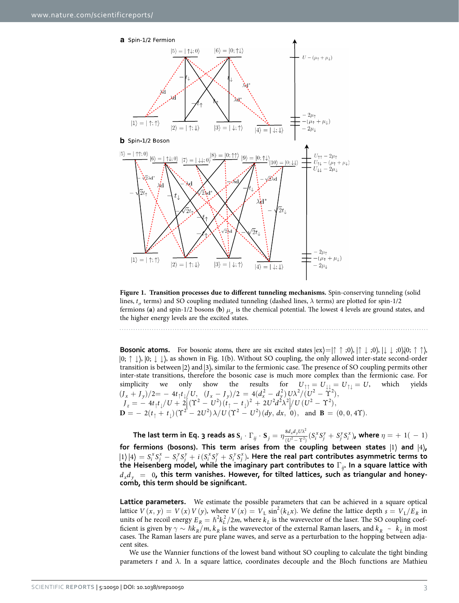

<span id="page-2-0"></span>**Figure 1. Transition processes due to different tunneling mechanisms.** Spin-conserving tunneling (solid lines, *tσ* terms) and SO coupling mediated tunneling (dashed lines, *λ* terms) are plotted for spin-1/2 fermions (**a**) and spin-1/2 bosons (**b**)  $\mu_{\sigma}$  is the chemical potential. The lowest 4 levels are ground states, and the higher energy levels are the excited states.

**Bosonic atoms.** For bosonic atoms, there are six excited states  $|e x\rangle = | \uparrow \uparrow; 0 \rangle$ ,  $| \uparrow \downarrow; 0 \rangle$ ,  $| \downarrow \downarrow; 0 \rangle$ ,  $| 0; \uparrow \uparrow \rangle$ ,  $\ket{0;\uparrow\downarrow}$ ,  $\ket{0;\downarrow\downarrow}$ , as shown in [Fig. 1\(b\).](#page-2-0) Without SO coupling, the only allowed inter-state second-order transition is between  $|2\rangle$  and  $|3\rangle$ , similar to the fermionic case. The presence of SO coupling permits other inter-state transitions, therefore the bosonic case is much more complex than the fermionic case. For simplicity we only show the results for  $U_{\uparrow\uparrow}=U_{\downarrow\downarrow}=U_{\uparrow\downarrow}=U,$  which yields  $(J_x + J_y)/2 = -4t_\uparrow t_\downarrow/U, \ \ (J_x - J_y)/2 = 4(d_x^2 - d_y^2)U\lambda^2/(U^2 - \Upsilon^2),$  $J_z = -4t_1t_1/U + 2[(T^2 - U^2)(t_1 - t_1)^2 + 2U^2d^2\lambda^2]/U(U^2 - T^2),$  $\overline{\phantom{a}}$ ļ  $\mathbf{D} = -2(t_1 + t_1)(\Upsilon^2 - 2U^2)\lambda/U(\Upsilon^2 - U^2)(dy, dx, 0), \text{ and } \mathbf{B} = (0, 0, 4\Upsilon).$ 

The last term in Eq. 3 reads as  $\bm{S}_i\cdot\Gamma_{ij}\cdot\bm{S}_j=\eta\frac{8d_xd_yU\lambda^2}{(U^2-\Upsilon^2)}(S_i^XS_j^y+S_j^YS_j^z)$  $y \cdot \Gamma_{ij} \cdot \mathbf{S}_j = \eta \frac{8d_x d_y U \lambda^2}{(U^2 - \Upsilon^2)} (S_i^x S_j^y + S_j^y S_i^x)$ , where  $\eta = + \ 1(\ - \ 1)$ for fermions (bosons). This term arises from the coupling between states  $|1\rangle$  and  $|4\rangle$ ,  $|1\rangle|4\rangle = S_i^x S_j^x - S_i^y S_j^y + i(S_i^x S_j^y + S_i^y S_j^x)$ . Here the real part contributes asymmetric terms to **the Heisenberg model, while the imaginary part contributes to** Γ*ij***. In a square lattice with**   $d_x d_y = 0$ , this term vanishes. However, for tilted lattices, such as triangular and honey**comb, this term should be significant.**

**Lattice parameters.** We estimate the possible parameters that can be achieved in a square optical lattice  $V(x, y) = V(x) V(y)$ , where  $V(x) = V_L \sin^2(k_L x)$ . We define the lattice depth  $s = V_L/E_R$  in units of he recoil energy  $E_R = \hbar^2 k_L^2 / 2m$ , where  $k_L$  is the wavevector of the laser. The SO coupling coefficient is given by  $\gamma \sim \hbar k_R / m$ ,  $k_R$  is the wavevector of the external Raman lasers, and  $k_R \sim k_L$  in most cases. The Raman lasers are pure plane waves, and serve as a perturbation to the hopping between adjacent sites.

We use the Wannier functions of the lowest band without SO coupling to calculate the tight binding parameters *t* and  $\lambda$ . In a square lattice, coordinates decouple and the Bloch functions are Mathieu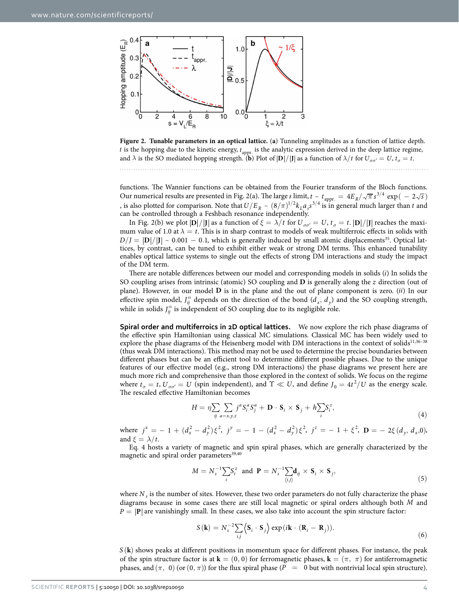

<span id="page-3-0"></span>**Figure 2. Tunable parameters in an optical lattice.** (**a**) Tunneling amplitudes as a function of lattice depth.  $t$  is the hopping due to the kinetic energy,  $t_{\mathrm{appr.}}$  is the analytic expression derived in the deep lattice regime, and  $\lambda$  is the SO mediated hopping strength. (**b**) Plot of  $\left|D\right|/|J|$  as a function of  $\lambda/t$  for  $U_{\sigma\sigma'} = U$ ,  $t_{\sigma} = t$ .

functions. The Wannier functions can be obtained from the Fourier transform of the Bloch functions. Our numerical results are presented in [Fig. 2\(a\).](#page-3-0) The large *s* limit,  $t \sim t_{\rm appr.} = 4E_R/\sqrt{\pi s}^{3/4} \exp(-2\sqrt{s})$ , is also plotted for comparison. Note that  $U/E_R \sim (8/\pi)^{1/2} k_L a_s s^{3/4}$  is in general much larger than *t* and can be controlled through a Feshbach resonance independently.

In [Fig. 2\(b\)](#page-3-0) we plot  $|\mathbf{D}|/|\mathbf{J}|$  as a function of  $\xi = \lambda/t$  for  $U_{\sigma\sigma'} = U$ ,  $t_{\sigma} = t$ .  $|\mathbf{D}|/|\mathbf{J}|$  reaches the maximum value of 1.0 at  $\lambda = t$ . This is in sharp contrast to models of weak multiferroic effects in solids with  $D/J = |D|/|J| \sim 0.001 - 0.1$ , which is generally induced by small atomic displacements<sup>35</sup>. Optical lattices, by contrast, can be tuned to exhibit either weak or strong DM terms. This enhanced tunability enables optical lattice systems to single out the effects of strong DM interactions and study the impact of the DM term.

There are notable differences between our model and corresponding models in solids (*i*) In solids the SO coupling arises from intrinsic (atomic) SO coupling and **D** is generally along the *z* direction (out of plane). However, in our model **D** is in the plane and the out of plane component is zero. (*ii*) In our effective spin model,  $J_{ij}^{\alpha}$  depends on the direction of the bond  $(d_x, d_y)$  and the SO coupling strength, while in solids  $J_{ij}^{\alpha}$  is independent of SO coupling due to its negligible role.

**Spiral order and multiferroics in 2D optical lattices.** We now explore the rich phase diagrams of the effective spin Hamiltonian using classical MC simulations. Classical MC has been widely used to explore the phase diagrams of the Heisenberg model with DM interactions in the context of solids<sup>11,[36–38](#page-6-19)</sup> (thus weak DM interactions). This method may not be used to determine the precise boundaries between different phases but can be an efficient tool to determine different possible phases. Due to the unique features of our effective model (e.g., strong DM interactions) the phase diagrams we present here are much more rich and comprehensive than those explored in the context of solids. We focus on the regime where  $t_{\sigma} = t$ ,  $U_{\sigma\sigma'} = U$  (spin independent), and  $\Upsilon \ll U$ , and define  $J_0 = 4t^2/U$  as the energy scale. The rescaled effective Hamiltonian becomes

$$
H = \eta \sum_{ij} \sum_{a=x,y,z} j^a S_i^a S_j^a + \mathbf{D} \cdot \mathbf{S}_i \times \mathbf{S}_j + h \sum_i S_i^z,
$$
\n(4)

where  $j^x = -1 + (d_x^2 - d_y^2)\xi^2$ ,  $j^y = -1 - (d_x^2 - d_y^2)\xi^2$ ,  $j^z = -1 + \xi^2$ ,  $\mathbf{D} = -2\xi(d_y, d_x, 0)$ , and  $\xi = \lambda/t$ .

Eq. 4 hosts a variety of magnetic and spin spiral phases, which are generally characterized by the magnetic and spiral order parameters<sup>39,[40](#page-6-21)</sup>

$$
M = N_s^{-1} \sum_i S_i^z \text{ and } \mathbf{P} = N_s^{-1} \sum_{\langle i,j \rangle} \mathbf{d}_{ij} \times \mathbf{S}_i \times \mathbf{S}_j,\tag{5}
$$

where *N*<sub>c</sub> is the number of sites. However, these two order parameters do not fully characterize the phase diagrams because in some cases there are still local magnetic or spiral orders although both *M* and  $P = |\mathbf{P}|$  are vanishingly small. In these cases, we also take into account the spin structure factor:

$$
S(\mathbf{k}) = N_s^{-2} \sum_{i,j} \langle \mathbf{S}_i \cdot \mathbf{S}_j \rangle \exp(i\mathbf{k} \cdot (\mathbf{R}_i - \mathbf{R}_j)).
$$
 (6)

 $S(\mathbf{k})$  shows peaks at different positions in momentum space for different phases. For instance, the peak of the spin structure factor is at **k** =  $(0, 0)$  for ferromagnetic phases, **k** =  $(\pi, \pi)$  for antiferromagnetic phases, and  $(\pi, 0)$  (or  $(0, \pi)$ ) for the flux spiral phase ( $P = 0$  but with nontrivial local spin structure).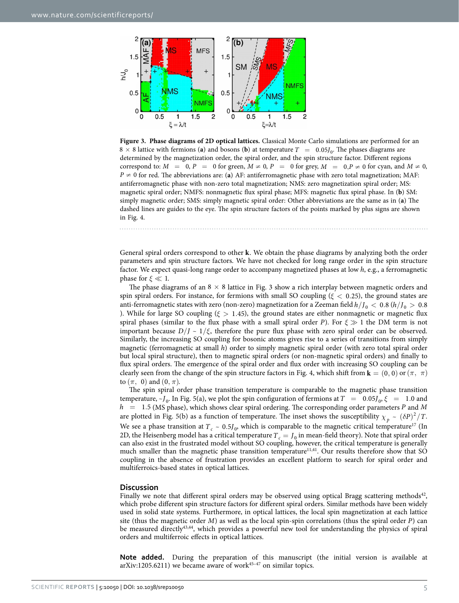

<span id="page-4-0"></span>**Figure 3. Phase diagrams of 2D optical lattices.** Classical Monte Carlo simulations are performed for an  $8 \times 8$  lattice with fermions (**a**) and bosons (**b**) at temperature  $T = 0.05 J_0$ . The phases diagrams are determined by the magnetization order, the spiral order, and the spin structure factor. Different regions correspond to:  $M = 0$ ,  $P = 0$  for green,  $M \neq 0$ ,  $P = 0$  for grey,  $M = 0$ ,  $P \neq 0$  for cyan, and  $M \neq 0$ ,  $P \neq 0$  for red. The abbreviations are: (**a**) AF: antiferromagnetic phase with zero total magnetization; MAF: antiferromagnetic phase with non-zero total magnetization; NMS: zero magnetization spiral order; MS: magnetic spiral order; NMFS: nonmagnetic flux spiral phase; MFS: magnetic flux spiral phase. In (**b**) SM: simply magnetic order; SMS: simply magnetic spiral order: Other abbreviations are the same as in (**a**) The dashed lines are guides to the eye. The spin structure factors of the points marked by plus signs are shown in [Fig. 4](#page-5-2).

General spiral orders correspond to other **k**. We obtain the phase diagrams by analyzing both the order parameters and spin structure factors. We have not checked for long range order in the spin structure factor. We expect quasi-long range order to accompany magnetized phases at low *h*, e.g., a ferromagnetic phase for  $\xi \ll 1$ .

The phase diagrams of an  $8 \times 8$  lattice in [Fig. 3](#page-4-0) show a rich interplay between magnetic orders and spin spiral orders. For instance, for fermions with small SO coupling ( $\xi$  < 0.25), the ground states are anti-ferromagnetic states with zero (non-zero) magnetization for a Zeeman field  $h/J_0 < 0.8$  ( $h/J_0 > 0.8$ ). While for large SO coupling ( $\xi > 1.45$ ), the ground states are either nonmagnetic or magnetic flux spiral phases (similar to the flux phase with a small spiral order *P*). For  $\xi \gg 1$  the DM term is not important because  $D/J \sim 1/\xi$ , therefore the pure flux phase with zero spiral order can be observed. Similarly, the increasing SO coupling for bosonic atoms gives rise to a series of transitions from simply magnetic (ferromagnetic at small *h*) order to simply magnetic spiral order (with zero total spiral order but local spiral structure), then to magnetic spiral orders (or non-magnetic spiral orders) and finally to flux spiral orders. The emergence of the spiral order and flux order with increasing SO coupling can be clearly seen from the change of the spin structure factors in [Fig. 4,](#page-5-2) which shift from  $\mathbf{k} = (0, 0)$  or  $(\pi, \pi)$ to  $(\pi, 0)$  and  $(0, \pi)$ .

The spin spiral order phase transition temperature is comparable to the magnetic phase transition temperature,  $\sim J_0$ . In [Fig. 5\(a\),](#page-5-3) we plot the spin configuration of fermions at  $T = 0.05J_0$ ,  $\xi = 1.0$  and *h* = . 1 5 (MS phase), which shows clear spiral ordering. The corresponding order parameters *P* and *M* are plotted in [Fig. 5\(b\)](#page-5-3) as a function of temperature. The inset shows the susceptibility  $\chi_p \sim (\delta P)^2 / T$ . We see a phase transition at  $T_c \sim 0.5 J_0$ , which is comparable to the magnetic critical temperature<sup>17</sup> (In 2D, the Heisenberg model has a critical temperature  $T_c = J_0$  in mean-field theory). Note that spiral order can also exist in the frustrated model without SO coupling, however, the critical temperature is generally much smaller than the magnetic phase transition temperature<sup>11,[41](#page-6-22)</sup>. Our results therefore show that SO coupling in the absence of frustration provides an excellent platform to search for spiral order and multiferroics-based states in optical lattices.

#### **Discussion**

Finally we note that different spiral orders may be observed using optical Bragg scattering methods $42$ , which probe different spin structure factors for different spiral orders. Similar methods have been widely used in solid state systems. Furthermore, in optical lattices, the local spin magnetization at each lattice site (thus the magnetic order *M*) as well as the local spin-spin correlations (thus the spiral order *P*) can be measured directl[y43](#page-6-24),[44,](#page-6-25) which provides a powerful new tool for understanding the physics of spiral orders and multiferroic effects in optical lattices.

**Note added.** During the preparation of this manuscript (the initial version is available at arXiv:1205.6211) we became aware of work $45-47$  on similar topics.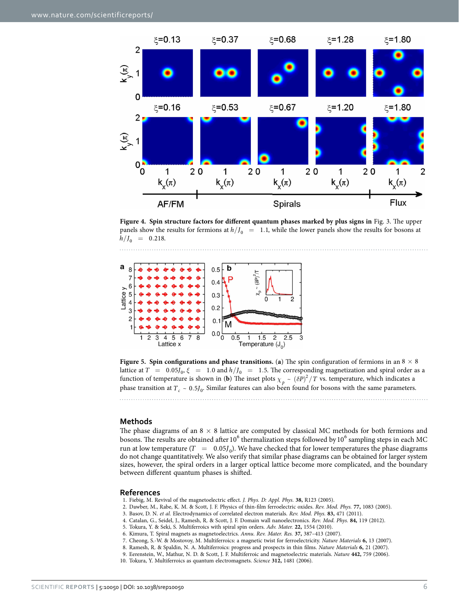

<span id="page-5-2"></span>**Figure 4. Spin structure factors for different quantum phases marked by plus signs in** [Fig. 3.](#page-4-0) The upper panels show the results for fermions at  $h / I_0 = 1.1$ , while the lower panels show the results for bosons at  $h/J_0$  = 0.218.



<span id="page-5-3"></span>**Figure 5.** Spin configurations and phase transitions. (a) The spin configuration of fermions in an  $8 \times 8$ lattice at  $T = 0.05 J_0$ ,  $\xi = 1.0$  and  $h/J_0 = 1.5$ . The corresponding magnetization and spiral order as a function of temperature is shown in (**b**) The inset plots  $\chi_p \sim (\delta P)^2/T$  vs. temperature, which indicates a phase transition at  $T_c \sim 0.5 J_0$ . Similar features can also been found for bosons with the same parameters. 

**Methods**

. . . . . . . . . . . . .

The phase diagrams of an  $8 \times 8$  lattice are computed by classical MC methods for both fermions and bosons. The results are obtained after 10 $^6$  thermalization steps followed by 10 $^6$  sampling steps in each MC run at low temperature  $(T = 0.05J_0)$ . We have checked that for lower temperatures the phase diagrams do not change quantitatively. We also verify that similar phase diagrams can be obtained for larger system sizes, however, the spiral orders in a larger optical lattice become more complicated, and the boundary between different quantum phases is shifted.

#### **References**

- <span id="page-5-0"></span>1. Fiebig, M. Revival of the magnetoelectric effect. *J. Phys. D: Appl. Phys.* **38,** R123 (2005).
- 2. Dawber, M., Rabe, K. M. & Scott, J. F. Physics of thin-film ferroelectric oxides. *Rev. Mod. Phys.* **77,** 1083 (2005).
- 3. Basov, D. N. *et al.* Electrodynamics of correlated electron materials. *Rev. Mod. Phys.* **83,** 471 (2011).
- 4. Catalan, G., Seidel, J., Ramesh, R. & Scott, J. F. Domain wall nanoelectronics. *Rev. Mod. Phys.* **84,** 119 (2012).
- <span id="page-5-1"></span>5. Tokura, Y. & Seki, S. Multiferroics with spiral spin orders. *Adv. Mater.* **22,** 1554 (2010).
- 6. Kimura, T. Spiral magnets as magnetoelectrics. *Annu. Rev. Mater. Res.* **37,** 387–413 (2007).
- 7. Cheong, S.-W. & Mostovoy, M. Multiferroics: a magnetic twist for ferroelectricity. *Nature Materials* **6,** 13 (2007).
- 8. Ramesh, R. & Spaldin, N. A. Multiferroics: progress and prospects in thin films. *Nature Materials* **6,** 21 (2007).
- 9. Eerenstein, W., Mathur, N. D. & Scott, J. F. Multiferroic and magnetoelectric materials. *Nature* **442,** 759 (2006).
- 10. Tokura, Y. Multiferroics as quantum electromagnets. *Science* **312,** 1481 (2006).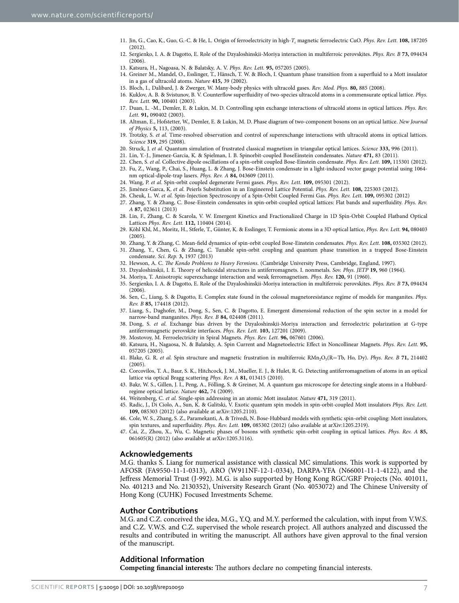- <span id="page-6-0"></span>11. Jin, G., Cao, K., Guo, G.-C. & He, L. Origin of ferroelectricity in high-*Tc* magnetic ferroelectric CuO. *Phys. Rev. Lett.* **108,** 187205  $(2012)$
- <span id="page-6-1"></span>12. Sergienko, I. A. & Dagotto, E. Role of the Dzyaloshinskii-Moriya interaction in multiferroic perovskites. *Phys. Rev. B* **73,** 094434  $(2006)$
- <span id="page-6-3"></span><span id="page-6-2"></span>13. Katsura, H., Nagoasa, N. & Balatsky, A. V. *Phys. Rev. Lett.* **95,** 057205 (2005).
- 14. Greiner M., Mandel, O., Esslinger, T., Hänsch, T. W. & Bloch, I. Quantum phase transition from a superfluid to a Mott insulator in a gas of ultracold atoms. *Nature* **415,** 39 (2002).
- <span id="page-6-4"></span>15. Bloch, I., Dalibard, J. & Zwerger, W. Many-body physics with ultracold gases. *Rev. Mod. Phys.* **80,** 885 (2008).
- <span id="page-6-5"></span>16. Kuklov, A. B. & Svistunov, B. V. Counterflow superfluidity of two-species ultracold atoms in a commensurate optical lattice. *Phys. Rev. Lett.* **90,** 100401 (2003).
- <span id="page-6-6"></span>17. Duan, L. -M., Demler, E. & Lukin, M. D. Controlling spin exchange interactions of ultracold atoms in optical lattices. *Phys. Rev. Lett.* **91,** 090402 (2003).
- <span id="page-6-13"></span>18. Altman, E., Hofstetter, W., Demler, E. & Lukin, M. D. Phase diagram of two-component bosons on an optical lattice. *New Journal of Physics* **5,** 113, (2003).
- <span id="page-6-7"></span>19. Trotzky, S. *et al.* Time-resolved observation and control of superexchange interactions with ultracold atoms in optical lattices. *Science* **319,** 295 (2008).
- 20. Struck, J. *et al.* Quantum simulation of frustrated classical magnetism in triangular optical lattices. *Science* **333,** 996 (2011).
- <span id="page-6-9"></span><span id="page-6-8"></span>21. Lin, Y.-J., Jimenez-Garcia, K. & Spielman, I. B. Spinorbit-coupled BoseEinstein condensates. *Nature* **471,** 83 (2011).
- 22. Chen, S. *et al.* Collective dipole oscillations of a spin-orbit coupled Bose-Einstein condensate. *Phys. Rev. Lett.* **109,** 115301 (2012).
- 23. Fu, Z., Wang, P., Chai, S., Huang, L. & Zhang, J. Bose-Einstein condensate in a light-induced vector gauge potential using 1064 nm optical-dipole-trap lasers. *Phys. Rev. A* **84,** 043609 (2011).
- 24. Wang, P. *et al.* Spin-orbit coupled degenerate Fermi gases. *Phys. Rev. Lett.* **109,** 095301 (2012).
- <span id="page-6-11"></span><span id="page-6-10"></span>25. Jiménez-Garca, K. *et al.* Peierls Substitution in an Engineered Lattice Potential. *Phys. Rev. Lett.* **108,** 225303 (2012).
- 26. Cheuk, L. W. *et al.* Spin-Injection Spectroscopy of a Spin-Orbit Coupled Fermi Gas. *Phys. Rev. Lett.* **109,** 095302 (2012)
- 27. Zhang, Y. & Zhang, C. Bose-Einstein condensates in spin-orbit-coupled optical lattices: Flat bands and superfluidity. *Phys. Rev. A* **87,** 023611 (2013)
- 28. Lin, F., Zhang, C. & Scarola, V. W. Emergent Kinetics and Fractionalized Charge in 1D Spin-Orbit Coupled Flatband Optical Lattices *Phys. Rev. Lett.* **112,** 110404 (2014).
- <span id="page-6-12"></span>29. Köhl Khl, M., Moritz, H., Stferle, T., Günter, K. & Esslinger, T. Fermionic atoms in a 3D optical lattice, *Phys. Rev. Lett.* **94,** 080403 (2005).
- <span id="page-6-14"></span>30. Zhang, Y. & Zhang, C. Mean-field dynamics of spin-orbit coupled Bose-Einstein condensates. *Phys. Rev. Lett.* **108,** 035302 (2012).
- <span id="page-6-15"></span>31. Zhang, Y., Chen, G. & Zhang, C. Tunable spin-orbit coupling and quantum phase transition in a trapped Bose-Einstein condensate. *Sci. Rep.* **3,** 1937 (2013)
- <span id="page-6-16"></span>32. Hewson, A. C. *The Kondo Problems to Heavy Fermions*. (Cambridge University Press, Cambridge, England, 1997).
- <span id="page-6-17"></span>33. Dzyaloshinskii, I. E. Theory of helicoidal structures in antiferromagnets. I. nonmetals. *Sov. Phys. JETP* **19,** 960 (1964).
- <span id="page-6-18"></span>34. Moriya, T. Anisotropic superexchange interaction and weak ferromagnetism. *Phys. Rev.* **120,** 91 (1960).
- 35. Sergienko, I. A. & Dagotto, E. Role of the Dzyaloshinskii-Moriya interaction in multiferroic perovskites. *Phys. Rev. B* **73,** 094434 (2006).
- <span id="page-6-19"></span>36. Sen, C., Liang, S. & Dagotto, E. Complex state found in the colossal magnetoresistance regime of models for manganites. *Phys. Rev. B* **85,** 174418 (2012).
- 37. Liang, S., Daghofer, M., Dong, S., Sen, C. & Dagotto, E. Emergent dimensional reduction of the spin sector in a model for narrow-band manganites. *Phys. Rev. B* **84,** 024408 (2011).
- 38. Dong, S. *et al.* Exchange bias driven by the Dzyaloshinskii-Moriya interaction and ferroelectric polarization at G-type antiferromagnetic perovskite interfaces. *Phys. Rev. Lett.* **103,** 127201 (2009).
- <span id="page-6-20"></span>39. Mostovoy, M. Ferroelectricity in Spiral Magnets. *Phys. Rev. Lett.* **96,** 067601 (2006).
- <span id="page-6-21"></span>40. Katsura, H., Nagaosa, N. & Balatsky, A. Spin Current and Magnetoelectric Effect in Noncollinear Magnets. *Phys. Rev. Lett.* **95,** 057205 (2005).
- <span id="page-6-22"></span>41. Blake, G. R. *et al.* Spin structure and magnetic frustration in multiferroic RMn<sub>2</sub>O<sub>5</sub>(R=Tb, Ho, Dy). *Phys. Rev. B* 71, 214402 (2005).
- <span id="page-6-23"></span>42. Corcovilos, T. A., Baur, S. K., Hitchcock, J. M., Mueller, E. J., & Hulet, R. G. Detecting antiferromagnetism of atoms in an optical lattice via optical Bragg scattering *Phys. Rev. A* **81,** 013415 (2010).
- <span id="page-6-24"></span>43. Bakr, W. S., Gillen, J. I., Peng, A., Fölling, S. & Greiner, M. A quantum gas microscope for detecting single atoms in a Hubbardregime optical lattice. *Nature* **462,** 74 (2009).
- <span id="page-6-25"></span>44. Weitenberg, C. *et al.* Single-spin addressing in an atomic Mott insulator. *Nature* **471,** 319 (2011).
- <span id="page-6-26"></span>45. Radic, J., Di Ciolo, A., Sun, K. & Galitski, V. Exotic quantum spin models in spin-orbit-coupled Mott insulators *Phys. Rev. Lett.* **109,** 085303 (2012) (also available at arXiv:1205.2110).
- 46. Cole, W. S., Zhang, S. Z., Paramekanti, A. & Trivedi, N. Bose-Hubbard models with synthetic spin-orbit coupling: Mott insulators, spin textures, and superfluidity. *Phys. Rev. Lett.* **109,** 085302 (2012) (also available at arXiv:1205.2319).
- 47. Cai, Z., Zhou, X., Wu, C. Magnetic phases of bosons with synthetic spin-orbit coupling in optical lattices. *Phys. Rev. A* **85,** 061605(R) (2012) (also available at arXiv:1205.3116).

#### **Acknowledgements**

M.G. thanks S. Liang for numerical assistance with classical MC simulations. This work is supported by AFOSR (FA9550-11-1-0313), ARO (W911NF-12-1-0334), DARPA-YFA (N66001-11-1-4122), and the Jeffress Memorial Trust (J-992). M.G. is also supported by Hong Kong RGC/GRF Projects (No. 401011, No. 401213 and No. 2130352), University Research Grant (No. 4053072) and The Chinese University of Hong Kong (CUHK) Focused Investments Scheme.

#### **Author Contributions**

M.G. and C.Z. conceived the idea, M.G., Y.Q. and M.Y. performed the calculation, with input from V.W.S. and C.Z. V.W.S. and C.Z. supervised the whole research project. All authors analyzed and discussed the results and contributed in writing the manuscript. All authors have given approval to the final version of the manuscript.

### **Additional Information**

**Competing financial interests:** The authors declare no competing financial interests.